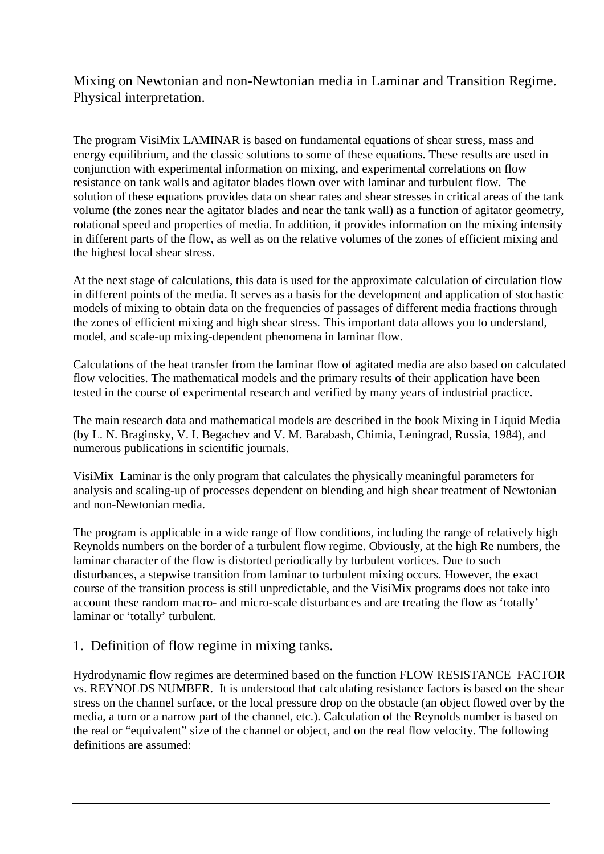Mixing on Newtonian and non-Newtonian media in Laminar and Transition Regime. Physical interpretation.

The program VisiMix LAMINAR is based on fundamental equations of shear stress, mass and energy equilibrium, and the classic solutions to some of these equations. These results are used in conjunction with experimental information on mixing, and experimental correlations on flow resistance on tank walls and agitator blades flown over with laminar and turbulent flow. The solution of these equations provides data on shear rates and shear stresses in critical areas of the tank volume (the zones near the agitator blades and near the tank wall) as a function of agitator geometry, rotational speed and properties of media. In addition, it provides information on the mixing intensity in different parts of the flow, as well as on the relative volumes of the zones of efficient mixing and the highest local shear stress.

At the next stage of calculations, this data is used for the approximate calculation of circulation flow in different points of the media. It serves as a basis for the development and application of stochastic models of mixing to obtain data on the frequencies of passages of different media fractions through the zones of efficient mixing and high shear stress. This important data allows you to understand, model, and scale-up mixing-dependent phenomena in laminar flow.

Calculations of the heat transfer from the laminar flow of agitated media are also based on calculated flow velocities. The mathematical models and the primary results of their application have been tested in the course of experimental research and verified by many years of industrial practice.

The main research data and mathematical models are described in the book Mixing in Liquid Media (by L. N. Braginsky, V. I. Begachev and V. M. Barabash, Chimia, Leningrad, Russia, 1984), and numerous publications in scientific journals.

VisiMix Laminar is the only program that calculates the physically meaningful parameters for analysis and scaling-up of processes dependent on blending and high shear treatment of Newtonian and non-Newtonian media.

The program is applicable in a wide range of flow conditions, including the range of relatively high Reynolds numbers on the border of a turbulent flow regime. Obviously, at the high Re numbers, the laminar character of the flow is distorted periodically by turbulent vortices. Due to such disturbances, a stepwise transition from laminar to turbulent mixing occurs. However, the exact course of the transition process is still unpredictable, and the VisiMix programs does not take into account these random macro- and micro-scale disturbances and are treating the flow as 'totally' laminar or 'totally' turbulent.

## 1. Definition of flow regime in mixing tanks.

Hydrodynamic flow regimes are determined based on the function FLOW RESISTANCE FACTOR vs. REYNOLDS NUMBER. It is understood that calculating resistance factors is based on the shear stress on the channel surface, or the local pressure drop on the obstacle (an object flowed over by the media, a turn or a narrow part of the channel, etc.). Calculation of the Reynolds number is based on the real or "equivalent" size of the channel or object, and on the real flow velocity. The following definitions are assumed: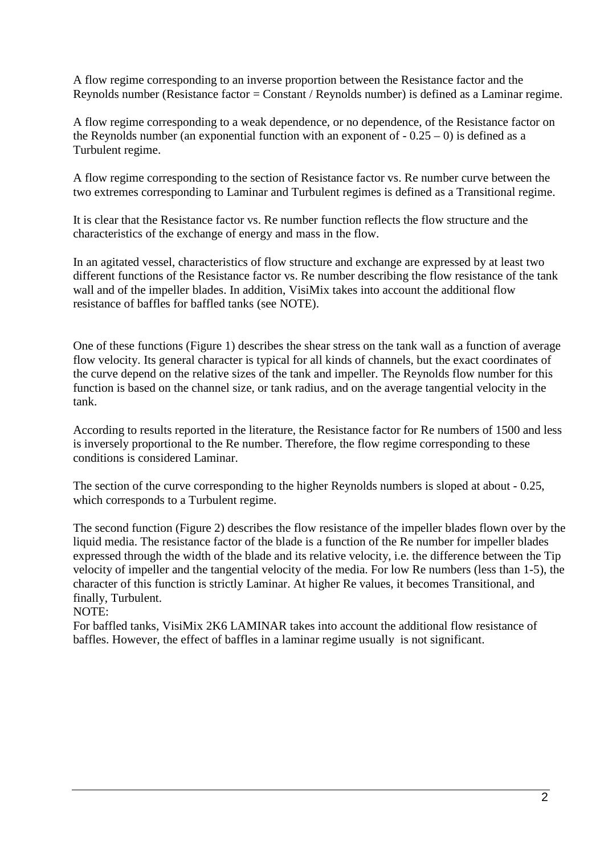A flow regime corresponding to an inverse proportion between the Resistance factor and the Reynolds number (Resistance factor = Constant / Reynolds number) is defined as a Laminar regime.

A flow regime corresponding to a weak dependence, or no dependence, of the Resistance factor on the Reynolds number (an exponential function with an exponent of  $-0.25 - 0$ ) is defined as a Turbulent regime.

A flow regime corresponding to the section of Resistance factor vs. Re number curve between the two extremes corresponding to Laminar and Turbulent regimes is defined as a Transitional regime.

It is clear that the Resistance factor vs. Re number function reflects the flow structure and the characteristics of the exchange of energy and mass in the flow.

In an agitated vessel, characteristics of flow structure and exchange are expressed by at least two different functions of the Resistance factor vs. Re number describing the flow resistance of the tank wall and of the impeller blades. In addition, VisiMix takes into account the additional flow resistance of baffles for baffled tanks (see NOTE).

One of these functions (Figure 1) describes the shear stress on the tank wall as a function of average flow velocity. Its general character is typical for all kinds of channels, but the exact coordinates of the curve depend on the relative sizes of the tank and impeller. The Reynolds flow number for this function is based on the channel size, or tank radius, and on the average tangential velocity in the tank.

According to results reported in the literature, the Resistance factor for Re numbers of 1500 and less is inversely proportional to the Re number. Therefore, the flow regime corresponding to these conditions is considered Laminar.

The section of the curve corresponding to the higher Reynolds numbers is sloped at about - 0.25, which corresponds to a Turbulent regime.

The second function (Figure 2) describes the flow resistance of the impeller blades flown over by the liquid media. The resistance factor of the blade is a function of the Re number for impeller blades expressed through the width of the blade and its relative velocity, i.e. the difference between the Tip velocity of impeller and the tangential velocity of the media. For low Re numbers (less than 1-5), the character of this function is strictly Laminar. At higher Re values, it becomes Transitional, and finally, Turbulent.

NOTE:

For baffled tanks, VisiMix 2K6 LAMINAR takes into account the additional flow resistance of baffles. However, the effect of baffles in a laminar regime usually is not significant.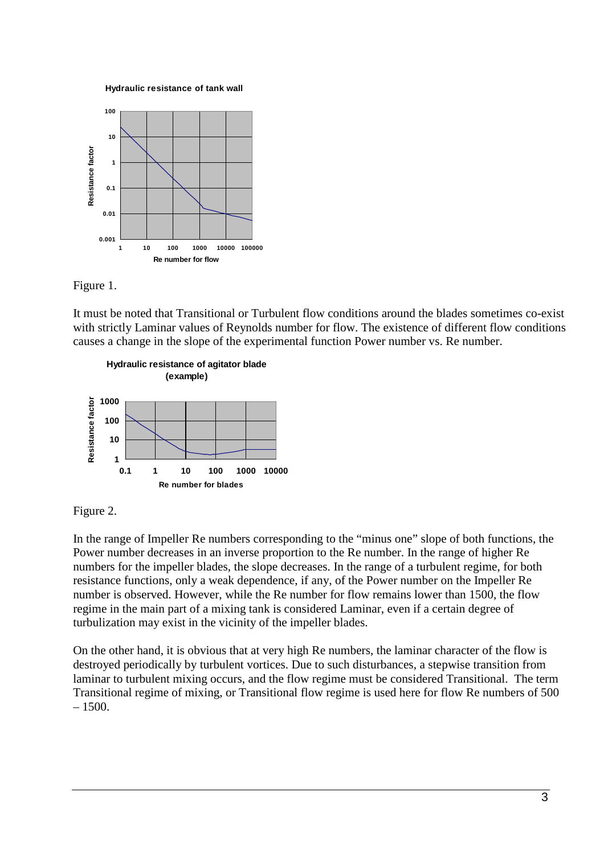**Hydraulic resistance of tank wall** 





It must be noted that Transitional or Turbulent flow conditions around the blades sometimes co-exist with strictly Laminar values of Reynolds number for flow. The existence of different flow conditions causes a change in the slope of the experimental function Power number vs. Re number.





In the range of Impeller Re numbers corresponding to the "minus one" slope of both functions, the Power number decreases in an inverse proportion to the Re number. In the range of higher Re numbers for the impeller blades, the slope decreases. In the range of a turbulent regime, for both resistance functions, only a weak dependence, if any, of the Power number on the Impeller Re number is observed. However, while the Re number for flow remains lower than 1500, the flow regime in the main part of a mixing tank is considered Laminar, even if a certain degree of turbulization may exist in the vicinity of the impeller blades.

On the other hand, it is obvious that at very high Re numbers, the laminar character of the flow is destroyed periodically by turbulent vortices. Due to such disturbances, a stepwise transition from laminar to turbulent mixing occurs, and the flow regime must be considered Transitional. The term Transitional regime of mixing, or Transitional flow regime is used here for flow Re numbers of 500  $-1500.$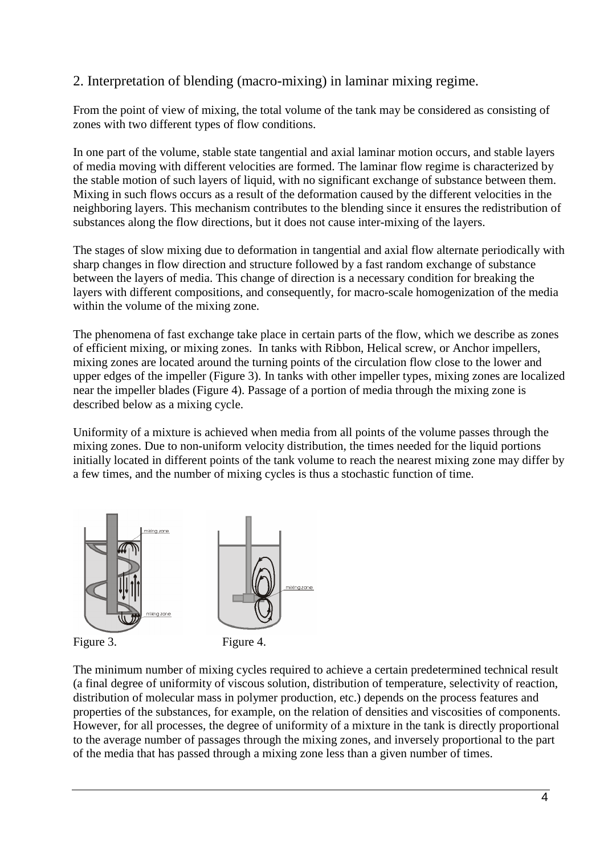# 2. Interpretation of blending (macro-mixing) in laminar mixing regime.

From the point of view of mixing, the total volume of the tank may be considered as consisting of zones with two different types of flow conditions.

In one part of the volume, stable state tangential and axial laminar motion occurs, and stable layers of media moving with different velocities are formed. The laminar flow regime is characterized by the stable motion of such layers of liquid, with no significant exchange of substance between them. Mixing in such flows occurs as a result of the deformation caused by the different velocities in the neighboring layers. This mechanism contributes to the blending since it ensures the redistribution of substances along the flow directions, but it does not cause inter-mixing of the layers.

The stages of slow mixing due to deformation in tangential and axial flow alternate periodically with sharp changes in flow direction and structure followed by a fast random exchange of substance between the layers of media. This change of direction is a necessary condition for breaking the layers with different compositions, and consequently, for macro-scale homogenization of the media within the volume of the mixing zone.

The phenomena of fast exchange take place in certain parts of the flow, which we describe as zones of efficient mixing, or mixing zones. In tanks with Ribbon, Helical screw, or Anchor impellers, mixing zones are located around the turning points of the circulation flow close to the lower and upper edges of the impeller (Figure 3). In tanks with other impeller types, mixing zones are localized near the impeller blades (Figure 4). Passage of a portion of media through the mixing zone is described below as a mixing cycle.

Uniformity of a mixture is achieved when media from all points of the volume passes through the mixing zones. Due to non-uniform velocity distribution, the times needed for the liquid portions initially located in different points of the tank volume to reach the nearest mixing zone may differ by a few times, and the number of mixing cycles is thus a stochastic function of time.



The minimum number of mixing cycles required to achieve a certain predetermined technical result (a final degree of uniformity of viscous solution, distribution of temperature, selectivity of reaction, distribution of molecular mass in polymer production, etc.) depends on the process features and properties of the substances, for example, on the relation of densities and viscosities of components. However, for all processes, the degree of uniformity of a mixture in the tank is directly proportional to the average number of passages through the mixing zones, and inversely proportional to the part of the media that has passed through a mixing zone less than a given number of times.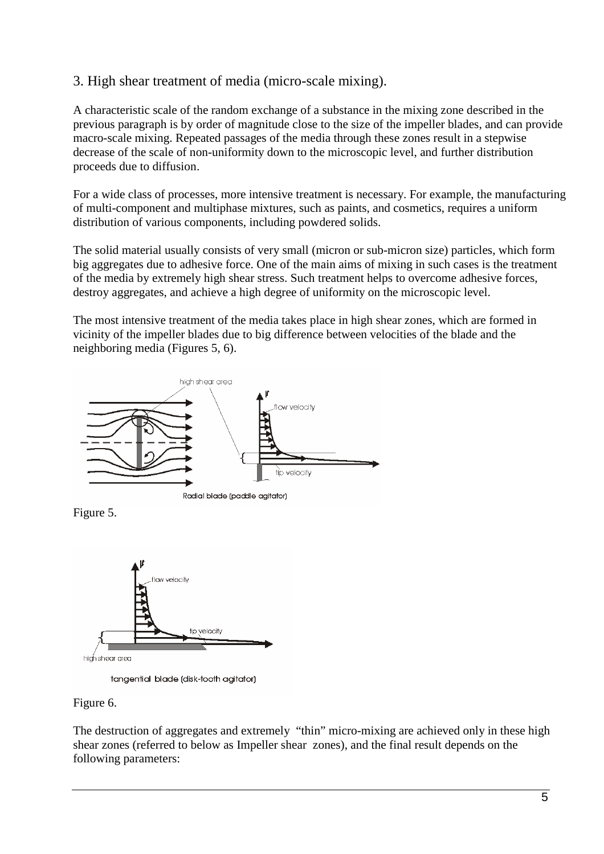# 3. High shear treatment of media (micro-scale mixing).

A characteristic scale of the random exchange of a substance in the mixing zone described in the previous paragraph is by order of magnitude close to the size of the impeller blades, and can provide macro-scale mixing. Repeated passages of the media through these zones result in a stepwise decrease of the scale of non-uniformity down to the microscopic level, and further distribution proceeds due to diffusion.

For a wide class of processes, more intensive treatment is necessary. For example, the manufacturing of multi-component and multiphase mixtures, such as paints, and cosmetics, requires a uniform distribution of various components, including powdered solids.

The solid material usually consists of very small (micron or sub-micron size) particles, which form big aggregates due to adhesive force. One of the main aims of mixing in such cases is the treatment of the media by extremely high shear stress. Such treatment helps to overcome adhesive forces, destroy aggregates, and achieve a high degree of uniformity on the microscopic level.

The most intensive treatment of the media takes place in high shear zones, which are formed in vicinity of the impeller blades due to big difference between velocities of the blade and the neighboring media (Figures 5, 6).







tangential blade (disk-tooth agitator)

## Figure 6.

The destruction of aggregates and extremely "thin" micro-mixing are achieved only in these high shear zones (referred to below as Impeller shear zones), and the final result depends on the following parameters: